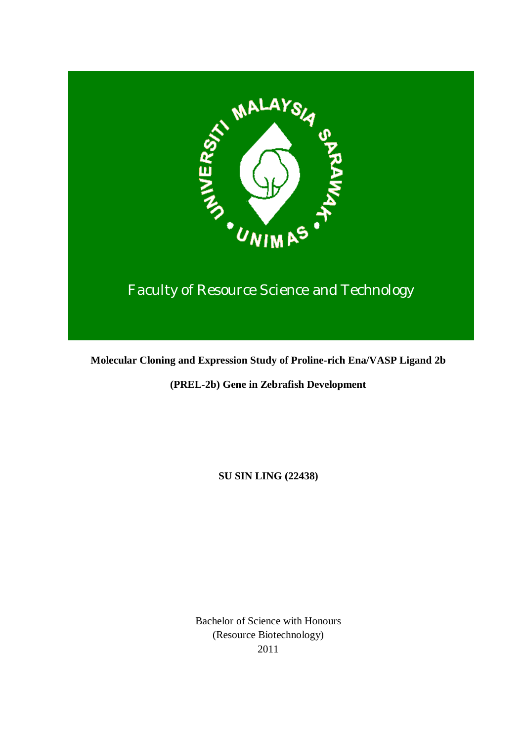

# Faculty of Resource Science and Technology

**Molecular Cloning and Expression Study of Proline-rich Ena/VASP Ligand 2b**

**(PREL***-***2b) Gene in Zebrafish Development**

**SU SIN LING (22438)**

Bachelor of Science with Honours (Resource Biotechnology) 2011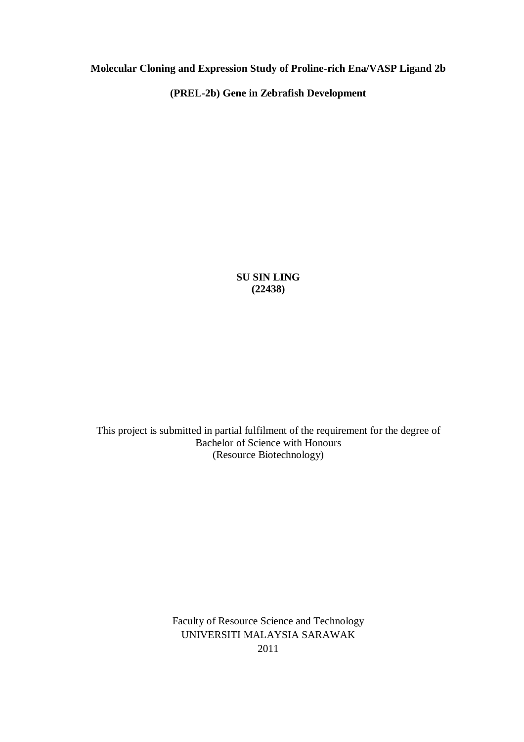**Molecular Cloning and Expression Study of Proline-rich Ena/VASP Ligand 2b** 

**(PREL-2b) Gene in Zebrafish Development**

**SU SIN LING (22438)**

This project is submitted in partial fulfilment of the requirement for the degree of Bachelor of Science with Honours (Resource Biotechnology)

> Faculty of Resource Science and Technology UNIVERSITI MALAYSIA SARAWAK 2011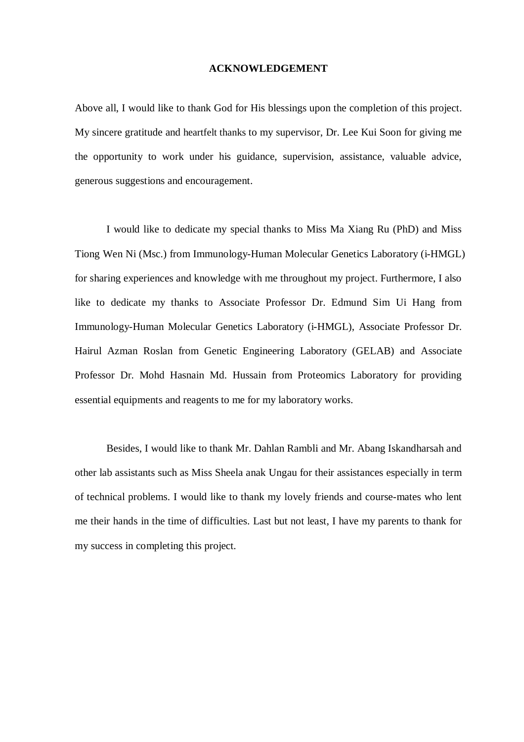#### **ACKNOWLEDGEMENT**

Above all, I would like to thank God for His blessings upon the completion of this project. My sincere gratitude and heartfelt thanks to my supervisor, Dr. Lee Kui Soon for giving me the opportunity to work under his guidance, supervision, assistance, valuable advice, generous suggestions and encouragement.

I would like to dedicate my special thanks to Miss Ma Xiang Ru (PhD) and Miss Tiong Wen Ni (Msc.) from Immunology-Human Molecular Genetics Laboratory (i-HMGL) for sharing experiences and knowledge with me throughout my project. Furthermore, I also like to dedicate my thanks to Associate Professor Dr. Edmund Sim Ui Hang from Immunology-Human Molecular Genetics Laboratory (i-HMGL), Associate Professor Dr. Hairul Azman Roslan from Genetic Engineering Laboratory (GELAB) and Associate Professor Dr. Mohd Hasnain Md. Hussain from Proteomics Laboratory for providing essential equipments and reagents to me for my laboratory works.

Besides, I would like to thank Mr. Dahlan Rambli and Mr. Abang Iskandharsah and other lab assistants such as Miss Sheela anak Ungau for their assistances especially in term of technical problems. I would like to thank my lovely friends and course-mates who lent me their hands in the time of difficulties. Last but not least, I have my parents to thank for my success in completing this project.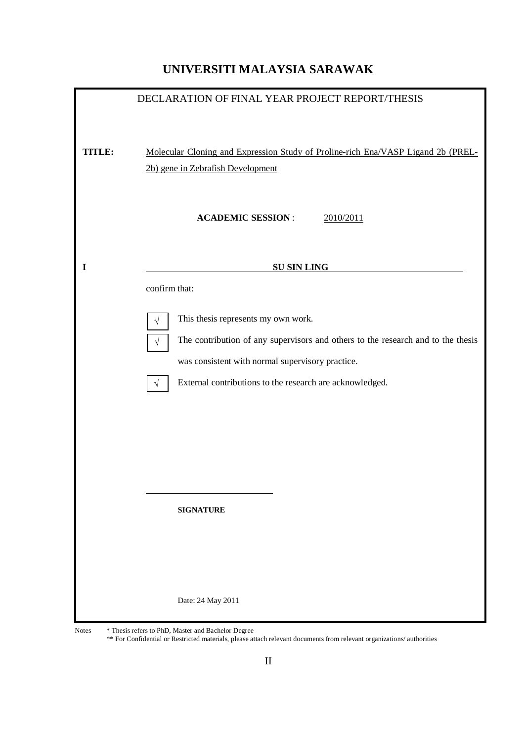## **UNIVERSITI MALAYSIA SARAWAK**

| DECLARATION OF FINAL YEAR PROJECT REPORT/THESIS |                                                                                               |  |  |
|-------------------------------------------------|-----------------------------------------------------------------------------------------------|--|--|
|                                                 |                                                                                               |  |  |
|                                                 |                                                                                               |  |  |
| TITLE:                                          | Molecular Cloning and Expression Study of Proline-rich Ena/VASP Ligand 2b (PREL-              |  |  |
|                                                 | 2b) gene in Zebrafish Development                                                             |  |  |
|                                                 |                                                                                               |  |  |
|                                                 | <b>ACADEMIC SESSION:</b><br>2010/2011                                                         |  |  |
|                                                 |                                                                                               |  |  |
|                                                 |                                                                                               |  |  |
| $\bf{I}$                                        | <b>SU SIN LING</b>                                                                            |  |  |
|                                                 | confirm that:                                                                                 |  |  |
|                                                 |                                                                                               |  |  |
|                                                 | This thesis represents my own work.<br>$\sqrt{}$                                              |  |  |
|                                                 | The contribution of any supervisors and others to the research and to the thesis<br>$\sqrt{}$ |  |  |
|                                                 | was consistent with normal supervisory practice.                                              |  |  |
|                                                 | External contributions to the research are acknowledged.<br>$\sqrt{ }$                        |  |  |
|                                                 |                                                                                               |  |  |
|                                                 |                                                                                               |  |  |
|                                                 |                                                                                               |  |  |
|                                                 |                                                                                               |  |  |
|                                                 |                                                                                               |  |  |
|                                                 |                                                                                               |  |  |
|                                                 | <b>SIGNATURE</b>                                                                              |  |  |
|                                                 |                                                                                               |  |  |
|                                                 |                                                                                               |  |  |
|                                                 |                                                                                               |  |  |
|                                                 | Date: 24 May 2011                                                                             |  |  |
|                                                 |                                                                                               |  |  |

Notes \* Thesis refers to PhD, Master and Bachelor Degree

\*\* For Confidential or Restricted materials, please attach relevant documents from relevant organizations/ authorities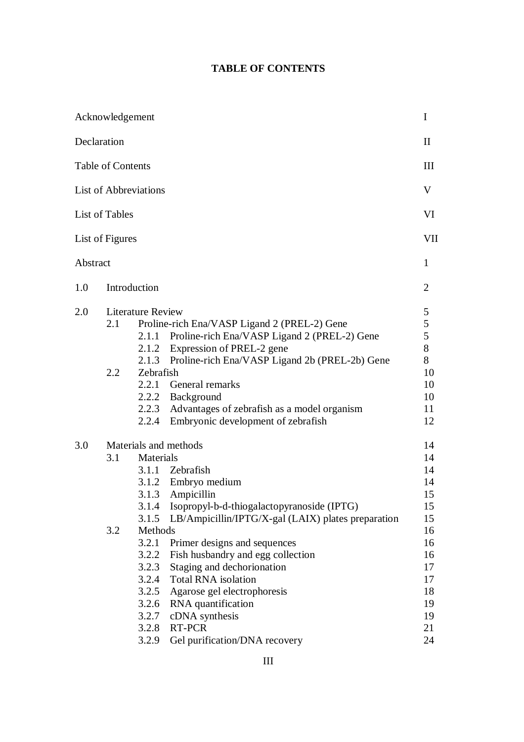## **TABLE OF CONTENTS**

|          | Acknowledgement          |                                                                               |                                                                                                                                                                                                                                                                                                                     | I                                                   |
|----------|--------------------------|-------------------------------------------------------------------------------|---------------------------------------------------------------------------------------------------------------------------------------------------------------------------------------------------------------------------------------------------------------------------------------------------------------------|-----------------------------------------------------|
|          | Declaration              |                                                                               |                                                                                                                                                                                                                                                                                                                     | $\mathbf{I}$                                        |
|          | <b>Table of Contents</b> |                                                                               |                                                                                                                                                                                                                                                                                                                     | III                                                 |
|          |                          | <b>List of Abbreviations</b>                                                  |                                                                                                                                                                                                                                                                                                                     | V                                                   |
|          | List of Tables           |                                                                               |                                                                                                                                                                                                                                                                                                                     | VI                                                  |
|          | List of Figures          |                                                                               |                                                                                                                                                                                                                                                                                                                     | <b>VII</b>                                          |
| Abstract |                          |                                                                               |                                                                                                                                                                                                                                                                                                                     | 1                                                   |
| 1.0      |                          | Introduction                                                                  |                                                                                                                                                                                                                                                                                                                     | $\overline{2}$                                      |
| 2.0      | 2.1<br>2.2               | <b>Literature Review</b><br>2.1.2<br>2.1.3<br>Zebrafish<br>2.2.1<br>2.2.4     | Proline-rich Ena/VASP Ligand 2 (PREL-2) Gene<br>2.1.1 Proline-rich Ena/VASP Ligand 2 (PREL-2) Gene<br>Expression of PREL-2 gene<br>Proline-rich Ena/VASP Ligand 2b (PREL-2b) Gene<br>General remarks<br>2.2.2 Background<br>2.2.3 Advantages of zebrafish as a model organism<br>Embryonic development of zebrafish | 5<br>5<br>5<br>8<br>8<br>10<br>10<br>10<br>11<br>12 |
| 3.0      | 3.1<br>3.2               | Materials<br>3.1.5<br>Methods                                                 | Materials and methods<br>3.1.1 Zebrafish<br>3.1.2 Embryo medium<br>3.1.3 Ampicillin<br>3.1.4 Isopropyl-b-d-thiogalactopyranoside (IPTG)<br>LB/Ampicillin/IPTG/X-gal (LAIX) plates preparation                                                                                                                       | 14<br>14<br>14<br>14<br>15<br>15<br>15<br>16        |
|          |                          | 3.2.1<br>3.2.2<br>3.2.3<br>3.2.4<br>3.2.5<br>3.2.6<br>3.2.7<br>3.2.8<br>3.2.9 | Primer designs and sequences<br>Fish husbandry and egg collection<br>Staging and dechorionation<br><b>Total RNA</b> isolation<br>Agarose gel electrophoresis<br>RNA quantification<br>cDNA synthesis<br>RT-PCR<br>Gel purification/DNA recovery                                                                     | 16<br>16<br>17<br>17<br>18<br>19<br>19<br>21<br>24  |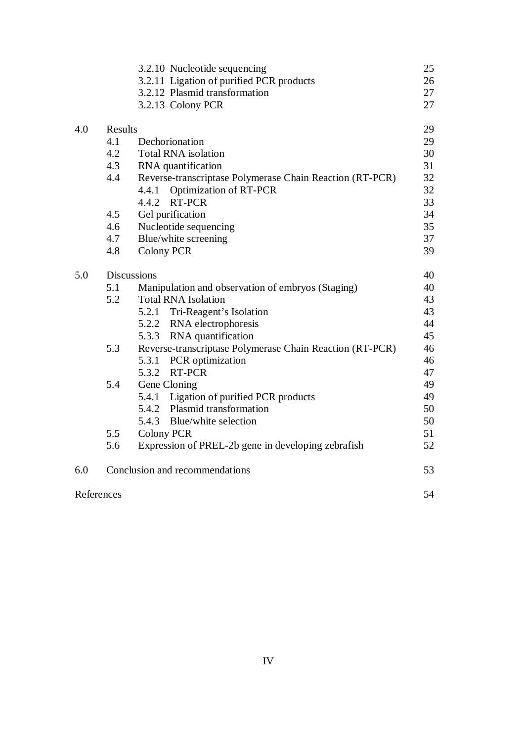|            |                    | 3.2.10 Nucleotide sequencing                             | 25 |
|------------|--------------------|----------------------------------------------------------|----|
|            |                    | 3.2.11 Ligation of purified PCR products                 | 26 |
|            |                    | 3.2.12 Plasmid transformation                            | 27 |
|            |                    | 3.2.13 Colony PCR                                        | 27 |
| 4.0        | Results            |                                                          | 29 |
|            | 4.1                | Dechorionation                                           | 29 |
|            | 4.2                | <b>Total RNA</b> isolation                               | 30 |
|            | 4.3                | RNA quantification                                       | 31 |
|            | 4.4                | Reverse-transcriptase Polymerase Chain Reaction (RT-PCR) | 32 |
|            |                    | <b>Optimization of RT-PCR</b><br>4.4.1                   | 32 |
|            |                    | RT-PCR<br>4.4.2                                          | 33 |
|            | 4.5                | Gel purification                                         | 34 |
|            | 4.6                | Nucleotide sequencing                                    | 35 |
|            | 4.7                | Blue/white screening                                     | 37 |
|            | 4.8                | <b>Colony PCR</b>                                        | 39 |
| 5.0        | <b>Discussions</b> |                                                          |    |
|            | 5.1                | Manipulation and observation of embryos (Staging)        | 40 |
|            | 5.2                | <b>Total RNA Isolation</b>                               | 43 |
|            |                    | 5.2.1 Tri-Reagent's Isolation                            | 43 |
|            |                    | 5.2.2 RNA electrophoresis                                | 44 |
|            |                    | 5.3.3<br>RNA quantification                              | 45 |
|            | 5.3                | Reverse-transcriptase Polymerase Chain Reaction (RT-PCR) | 46 |
|            |                    | 5.3.1 PCR optimization                                   | 46 |
|            |                    | 5.3.2 RT-PCR                                             | 47 |
|            | 5.4                | Gene Cloning                                             | 49 |
|            |                    | 5.4.1 Ligation of purified PCR products                  | 49 |
|            |                    | 5.4.2 Plasmid transformation                             | 50 |
|            |                    | 5.4.3 Blue/white selection                               | 50 |
|            | 5.5                | <b>Colony PCR</b>                                        | 51 |
|            | 5.6                | Expression of PREL-2b gene in developing zebrafish       | 52 |
| 6.0        |                    | Conclusion and recommendations                           | 53 |
| References |                    |                                                          | 54 |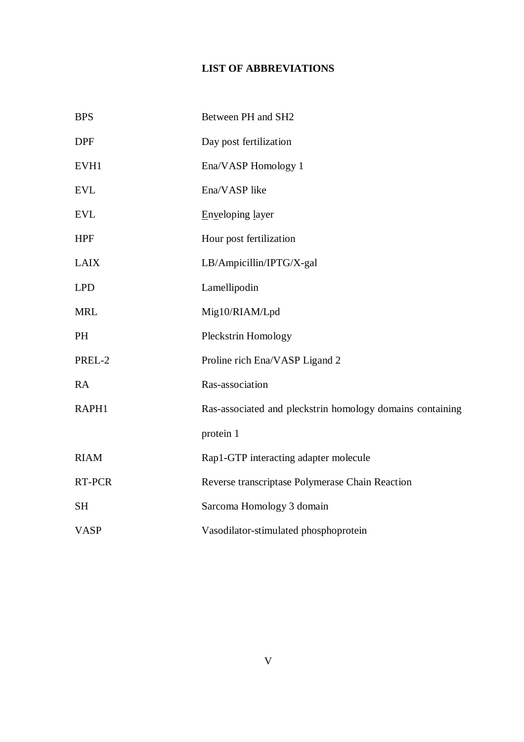## **LIST OF ABBREVIATIONS**

| <b>BPS</b>  | Between PH and SH2                                        |
|-------------|-----------------------------------------------------------|
| <b>DPF</b>  | Day post fertilization                                    |
| EVH1        | Ena/VASP Homology 1                                       |
| <b>EVL</b>  | Ena/VASP like                                             |
| <b>EVL</b>  | Enveloping layer                                          |
| <b>HPF</b>  | Hour post fertilization                                   |
| <b>LAIX</b> | LB/Ampicillin/IPTG/X-gal                                  |
| <b>LPD</b>  | Lamellipodin                                              |
| <b>MRL</b>  | Mig10/RIAM/Lpd                                            |
| PH          | Pleckstrin Homology                                       |
| PREL-2      | Proline rich Ena/VASP Ligand 2                            |
| <b>RA</b>   | Ras-association                                           |
| RAPH1       | Ras-associated and pleckstrin homology domains containing |
|             | protein 1                                                 |
| <b>RIAM</b> | Rap1-GTP interacting adapter molecule                     |
| RT-PCR      | Reverse transcriptase Polymerase Chain Reaction           |
| <b>SH</b>   | Sarcoma Homology 3 domain                                 |
| <b>VASP</b> | Vasodilator-stimulated phosphoprotein                     |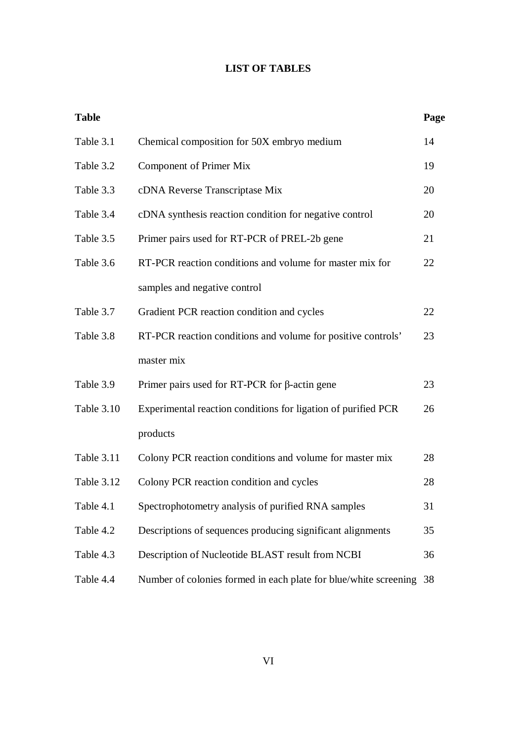## **LIST OF TABLES**

| <b>Table</b> |                                                                  | Page |  |
|--------------|------------------------------------------------------------------|------|--|
| Table 3.1    | Chemical composition for 50X embryo medium                       | 14   |  |
| Table 3.2    | <b>Component of Primer Mix</b>                                   | 19   |  |
| Table 3.3    | cDNA Reverse Transcriptase Mix                                   | 20   |  |
| Table 3.4    | cDNA synthesis reaction condition for negative control           | 20   |  |
| Table 3.5    | Primer pairs used for RT-PCR of PREL-2b gene                     | 21   |  |
| Table 3.6    | RT-PCR reaction conditions and volume for master mix for         |      |  |
|              | samples and negative control                                     |      |  |
| Table 3.7    | Gradient PCR reaction condition and cycles                       | 22   |  |
| Table 3.8    | RT-PCR reaction conditions and volume for positive controls'     | 23   |  |
|              | master mix                                                       |      |  |
| Table 3.9    | Primer pairs used for RT-PCR for $\beta$ -actin gene             | 23   |  |
| Table 3.10   | Experimental reaction conditions for ligation of purified PCR    | 26   |  |
|              | products                                                         |      |  |
| Table 3.11   | Colony PCR reaction conditions and volume for master mix         | 28   |  |
| Table 3.12   | Colony PCR reaction condition and cycles                         | 28   |  |
| Table 4.1    | Spectrophotometry analysis of purified RNA samples               | 31   |  |
| Table 4.2    | Descriptions of sequences producing significant alignments       | 35   |  |
| Table 4.3    | Description of Nucleotide BLAST result from NCBI                 | 36   |  |
| Table 4.4    | Number of colonies formed in each plate for blue/white screening | 38   |  |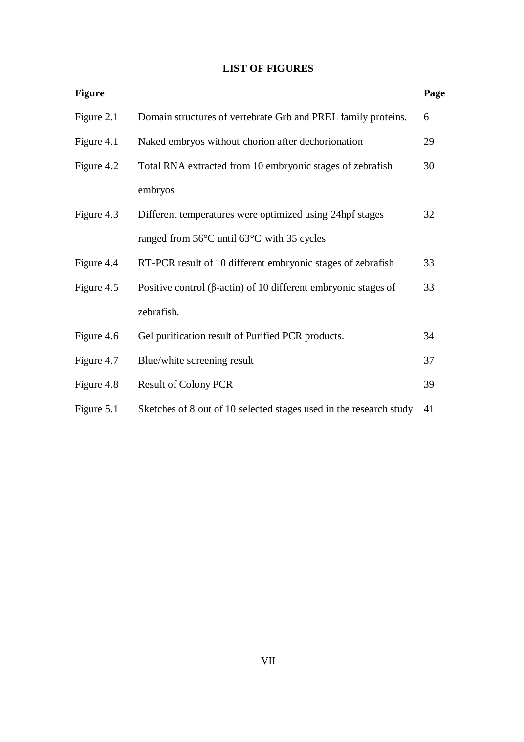## **LIST OF FIGURES**

| <b>Figure</b> |                                                                        | Page |
|---------------|------------------------------------------------------------------------|------|
| Figure 2.1    | Domain structures of vertebrate Grb and PREL family proteins.          | 6    |
| Figure 4.1    | Naked embryos without chorion after dechorionation                     | 29   |
| Figure 4.2    | Total RNA extracted from 10 embryonic stages of zebrafish              | 30   |
|               | embryos                                                                |      |
| Figure 4.3    | Different temperatures were optimized using 24hpf stages               | 32   |
|               | ranged from 56°C until 63°C with 35 cycles                             |      |
| Figure 4.4    | RT-PCR result of 10 different embryonic stages of zebrafish            | 33   |
| Figure 4.5    | Positive control ( $\beta$ -actin) of 10 different embryonic stages of | 33   |
|               | zebrafish.                                                             |      |
| Figure 4.6    | Gel purification result of Purified PCR products.                      | 34   |
| Figure 4.7    | Blue/white screening result                                            | 37   |
| Figure 4.8    | <b>Result of Colony PCR</b>                                            | 39   |
| Figure 5.1    | Sketches of 8 out of 10 selected stages used in the research study     | 41   |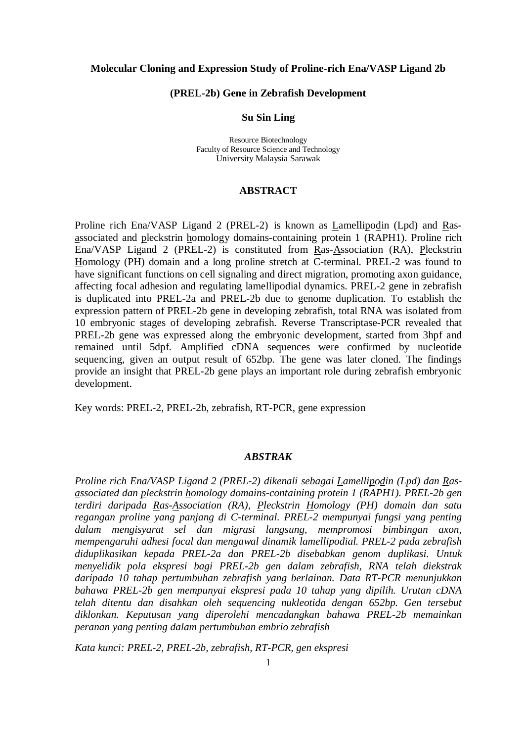#### **Molecular Cloning and Expression Study of Proline-rich Ena/VASP Ligand 2b**

#### **(PREL-2b) Gene in Zebrafish Development**

#### **Su Sin Ling**

Resource Biotechnology Faculty of Resource Science and Technology University Malaysia Sarawak

#### **ABSTRACT**

Proline rich Ena/VASP Ligand 2 (PREL-2) is known as Lamellipodin (Lpd) and Rasassociated and pleckstrin homology domains-containing protein 1 (RAPH1). Proline rich Ena/VASP Ligand 2 (PREL-2) is constituted from  $R$ as-Association (RA), Pleckstrin Homology (PH) domain and a long proline stretch at C-terminal. PREL-2 was found to have significant functions on cell signaling and direct migration, promoting axon guidance, affecting focal adhesion and regulating lamellipodial dynamics. PREL-2 gene in zebrafish is duplicated into PREL-2a and PREL-2b due to genome duplication. To establish the expression pattern of PREL-2b gene in developing zebrafish, total RNA was isolated from 10 embryonic stages of developing zebrafish. Reverse Transcriptase-PCR revealed that PREL-2b gene was expressed along the embryonic development, started from 3hpf and remained until 5dpf. Amplified cDNA sequences were confirmed by nucleotide sequencing, given an output result of 652bp. The gene was later cloned. The findings provide an insight that PREL-2b gene plays an important role during zebrafish embryonic development.

Key words: PREL-2, PREL-2b, zebrafish, RT-PCR, gene expression

#### *ABSTRAK*

*Proline rich Ena/VASP Ligand 2 (PREL-2) dikenali sebagai Lamellipodin (Lpd) dan Rasassociated dan pleckstrin homology domains-containing protein 1 (RAPH1). PREL-2b gen terdiri daripada Ras-Association (RA), Pleckstrin Homology (PH) domain dan satu regangan proline yang panjang di C-terminal. PREL-2 mempunyai fungsi yang penting dalam mengisyarat sel dan migrasi langsung, mempromosi bimbingan axon, mempengaruhi adhesi focal dan mengawal dinamik lamellipodial. PREL-2 pada zebrafish diduplikasikan kepada PREL-2a dan PREL-2b disebabkan genom duplikasi. Untuk menyelidik pola ekspresi bagi PREL-2b gen dalam zebrafish, RNA telah diekstrak daripada 10 tahap pertumbuhan zebrafish yang berlainan. Data RT-PCR menunjukkan bahawa PREL-2b gen mempunyai ekspresi pada 10 tahap yang dipilih. Urutan cDNA telah ditentu dan disahkan oleh sequencing nukleotida dengan 652bp. Gen tersebut diklonkan. Keputusan yang diperolehi mencadangkan bahawa PREL-2b memainkan peranan yang penting dalam pertumbuhan embrio zebrafish* 

*Kata kunci: PREL-2, PREL-2b, zebrafish, RT-PCR, gen ekspresi*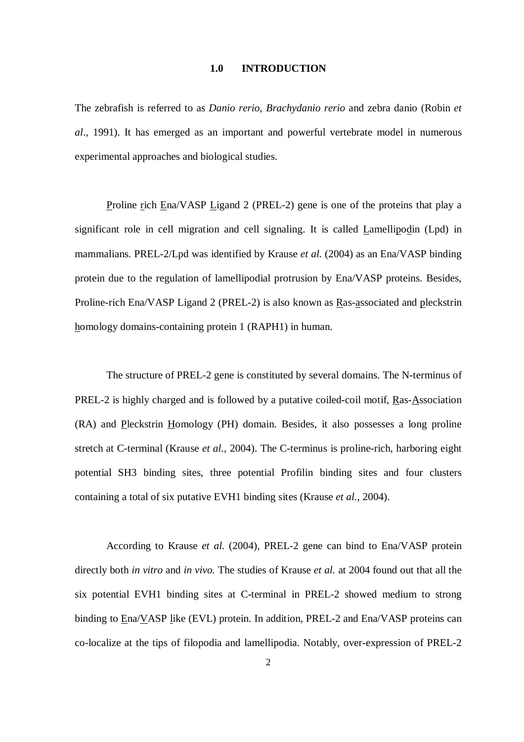#### **1.0 INTRODUCTION**

The zebrafish is referred to as *Danio rerio*, *Brachydanio rerio* and zebra danio (Robin *et al*., 1991). It has emerged as an important and powerful vertebrate model in numerous experimental approaches and biological studies.

Proline rich Ena/VASP Ligand 2 (PREL-2) gene is one of the proteins that play a significant role in cell migration and cell signaling. It is called Lamellipodin (Lpd) in mammalians. PREL-2/Lpd was identified by Krause *et al.* (2004) as an Ena/VASP binding protein due to the regulation of lamellipodial protrusion by Ena/VASP proteins. Besides, Proline-rich Ena/VASP Ligand 2 (PREL-2) is also known as Ras-associated and pleckstrin homology domains-containing protein 1 (RAPH1) in human.

The structure of PREL-2 gene is constituted by several domains. The N-terminus of PREL-2 is highly charged and is followed by a putative coiled-coil motif, Ras-Association (RA) and Pleckstrin Homology (PH) domain. Besides, it also possesses a long proline stretch at C-terminal (Krause *et al.*, 2004). The C-terminus is proline-rich, harboring eight potential SH3 binding sites, three potential Profilin binding sites and four clusters containing a total of six putative EVH1 binding sites (Krause *et al.*, 2004).

According to Krause *et al.* (2004), PREL-2 gene can bind to Ena/VASP protein directly both *in vitro* and *in vivo.* The studies of Krause *et al.* at 2004 found out that all the six potential EVH1 binding sites at C-terminal in PREL-2 showed medium to strong binding to Ena/VASP like (EVL) protein. In addition, PREL-2 and Ena/VASP proteins can co-localize at the tips of filopodia and lamellipodia. Notably, over-expression of PREL-2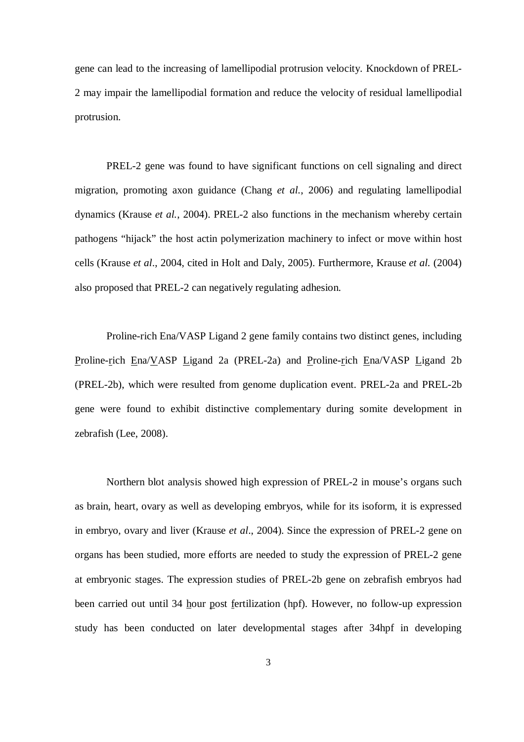gene can lead to the increasing of lamellipodial protrusion velocity. Knockdown of PREL-2 may impair the lamellipodial formation and reduce the velocity of residual lamellipodial protrusion.

PREL-2 gene was found to have significant functions on cell signaling and direct migration, promoting axon guidance (Chang *et al.*, 2006) and regulating lamellipodial dynamics (Krause *et al.*, 2004). PREL-2 also functions in the mechanism whereby certain pathogens "hijack" the host actin polymerization machinery to infect or move within host cells (Krause *et al*., 2004, cited in Holt and Daly, 2005). Furthermore, Krause *et al.* (2004) also proposed that PREL-2 can negatively regulating adhesion.

Proline-rich Ena/VASP Ligand 2 gene family contains two distinct genes, including Proline-rich Ena/VASP Ligand 2a (PREL-2a) and Proline-rich Ena/VASP Ligand 2b (PREL-2b), which were resulted from genome duplication event. PREL-2a and PREL-2b gene were found to exhibit distinctive complementary during somite development in zebrafish (Lee, 2008).

Northern blot analysis showed high expression of PREL-2 in mouse's organs such as brain, heart, ovary as well as developing embryos, while for its isoform, it is expressed in embryo, ovary and liver (Krause *et al*., 2004). Since the expression of PREL-2 gene on organs has been studied, more efforts are needed to study the expression of PREL-2 gene at embryonic stages. The expression studies of PREL-2b gene on zebrafish embryos had been carried out until 34 hour post fertilization (hpf). However, no follow-up expression study has been conducted on later developmental stages after 34hpf in developing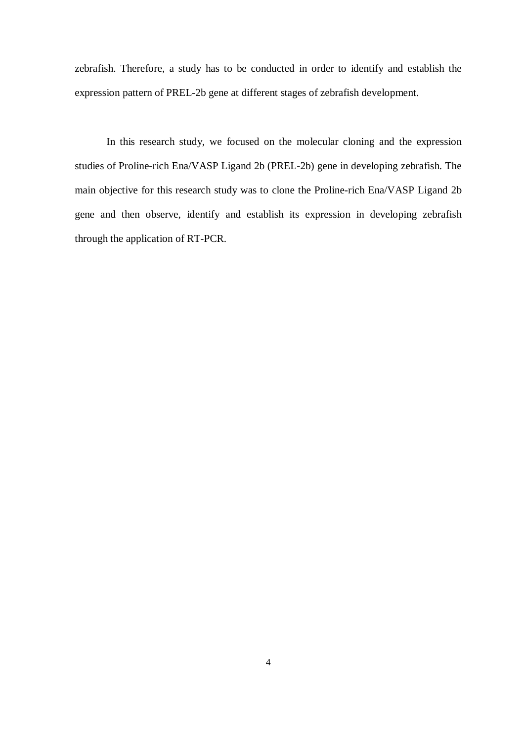zebrafish. Therefore, a study has to be conducted in order to identify and establish the expression pattern of PREL-2b gene at different stages of zebrafish development.

In this research study, we focused on the molecular cloning and the expression studies of Proline-rich Ena/VASP Ligand 2b (PREL-2b) gene in developing zebrafish. The main objective for this research study was to clone the Proline-rich Ena/VASP Ligand 2b gene and then observe, identify and establish its expression in developing zebrafish through the application of RT-PCR.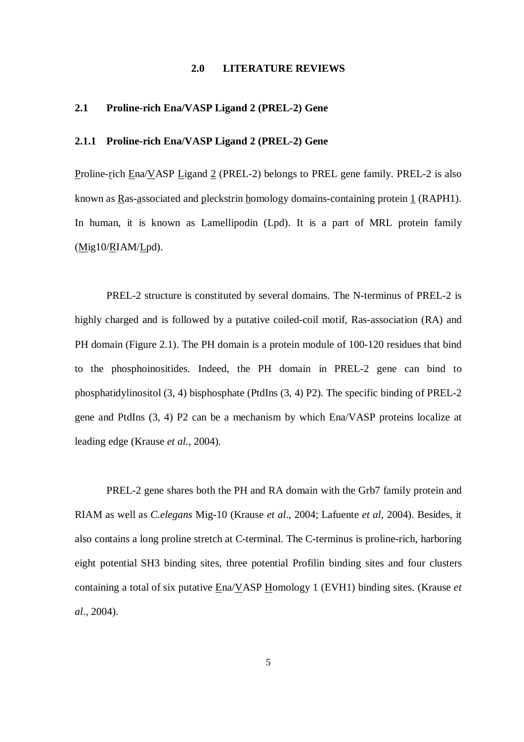#### **2.0 LITERATURE REVIEWS**

#### **2.1 Proline-rich Ena/VASP Ligand 2 (PREL-2) Gene**

#### **2.1.1 Proline-rich Ena/VASP Ligand 2 (PREL-2) Gene**

Proline-rich Ena/VASP Ligand 2 (PREL-2) belongs to PREL gene family. PREL-2 is also known as Ras-associated and pleckstrin homology domains-containing protein 1 (RAPH1). In human, it is known as Lamellipodin (Lpd). It is a part of MRL protein family (Mig10/RIAM/Lpd).

PREL-2 structure is constituted by several domains. The N-terminus of PREL-2 is highly charged and is followed by a putative coiled-coil motif, Ras-association (RA) and PH domain (Figure 2.1). The PH domain is a protein module of 100-120 residues that bind to the phosphoinositides. Indeed, the PH domain in PREL-2 gene can bind to phosphatidylinositol (3, 4) bisphosphate (PtdIns (3, 4) P2). The specific binding of PREL-2 gene and PtdIns (3, 4) P2 can be a mechanism by which Ena/VASP proteins localize at leading edge (Krause *et al.,* 2004).

PREL-2 gene shares both the PH and RA domain with the Grb7 family protein and RIAM as well as *C.elegans* Mig-10 (Krause *et al*., 2004; Lafuente *et al*, 2004). Besides, it also contains a long proline stretch at C-terminal. The C-terminus is proline-rich, harboring eight potential SH3 binding sites, three potential Profilin binding sites and four clusters containing a total of six putative Ena/VASP Homology 1 (EVH1) binding sites. (Krause *et al*., 2004).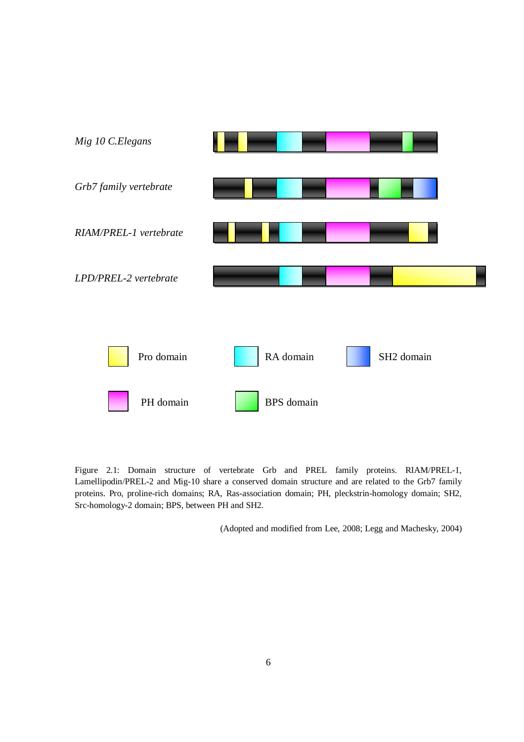

Figure 2.1: Domain structure of vertebrate Grb and PREL family proteins. RIAM/PREL-1, Lamellipodin/PREL-2 and Mig-10 share a conserved domain structure and are related to the Grb7 family proteins. Pro, proline-rich domains; RA, Ras-association domain; PH, pleckstrin-homology domain; SH2, Src-homology-2 domain; BPS, between PH and SH2.

(Adopted and modified from Lee, 2008; Legg and Machesky, 2004)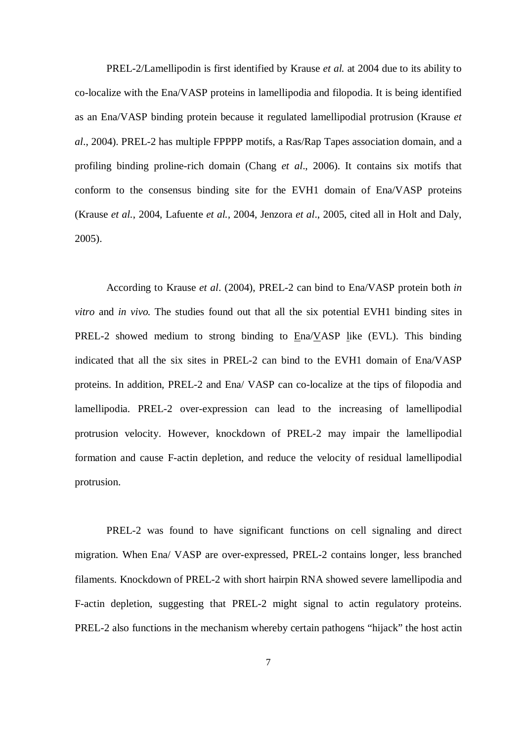PREL-2/Lamellipodin is first identified by Krause *et al.* at 2004 due to its ability to co-localize with the Ena/VASP proteins in lamellipodia and filopodia. It is being identified as an Ena/VASP binding protein because it regulated lamellipodial protrusion (Krause *et al*., 2004). PREL-2 has multiple FPPPP motifs, a Ras/Rap Tapes association domain, and a profiling binding proline-rich domain (Chang *et al*., 2006). It contains six motifs that conform to the consensus binding site for the EVH1 domain of Ena/VASP proteins (Krause *et al.*, 2004, Lafuente *et al.,* 2004, Jenzora *et al*., 2005, cited all in Holt and Daly, 2005).

According to Krause *et al*. (2004), PREL-2 can bind to Ena/VASP protein both *in vitro* and *in vivo.* The studies found out that all the six potential EVH1 binding sites in PREL-2 showed medium to strong binding to Ena/VASP like (EVL). This binding indicated that all the six sites in PREL-2 can bind to the EVH1 domain of Ena/VASP proteins. In addition, PREL-2 and Ena/ VASP can co-localize at the tips of filopodia and lamellipodia. PREL-2 over-expression can lead to the increasing of lamellipodial protrusion velocity. However, knockdown of PREL-2 may impair the lamellipodial formation and cause F-actin depletion, and reduce the velocity of residual lamellipodial protrusion.

PREL-2 was found to have significant functions on cell signaling and direct migration. When Ena/ VASP are over-expressed, PREL-2 contains longer, less branched filaments. Knockdown of PREL-2 with short hairpin RNA showed severe lamellipodia and F-actin depletion, suggesting that PREL-2 might signal to actin regulatory proteins. PREL-2 also functions in the mechanism whereby certain pathogens "hijack" the host actin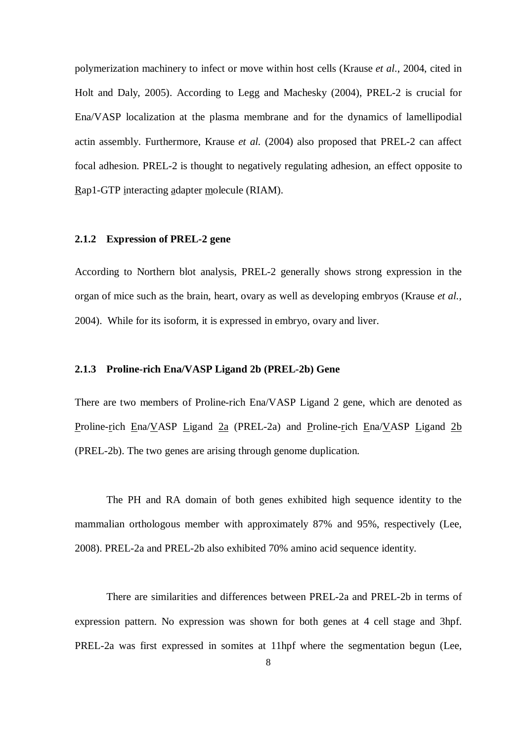polymerization machinery to infect or move within host cells (Krause *et al*., 2004, cited in Holt and Daly, 2005). According to Legg and Machesky (2004), PREL-2 is crucial for Ena/VASP localization at the plasma membrane and for the dynamics of lamellipodial actin assembly. Furthermore, Krause *et al.* (2004) also proposed that PREL-2 can affect focal adhesion. PREL-2 is thought to negatively regulating adhesion, an effect opposite to Rap1-GTP interacting adapter molecule (RIAM).

#### **2.1.2 Expression of PREL-2 gene**

According to Northern blot analysis, PREL-2 generally shows strong expression in the organ of mice such as the brain, heart, ovary as well as developing embryos (Krause *et al.,*  2004). While for its isoform, it is expressed in embryo, ovary and liver.

#### **2.1.3 Proline-rich Ena/VASP Ligand 2b (PREL-2b) Gene**

There are two members of Proline-rich Ena/VASP Ligand 2 gene, which are denoted as Proline-rich Ena/VASP Ligand 2a (PREL-2a) and Proline-rich Ena/VASP Ligand 2b (PREL-2b). The two genes are arising through genome duplication.

The PH and RA domain of both genes exhibited high sequence identity to the mammalian orthologous member with approximately 87% and 95%, respectively (Lee, 2008). PREL-2a and PREL-2b also exhibited 70% amino acid sequence identity.

There are similarities and differences between PREL-2a and PREL-2b in terms of expression pattern. No expression was shown for both genes at 4 cell stage and 3hpf. PREL-2a was first expressed in somites at 11hpf where the segmentation begun (Lee,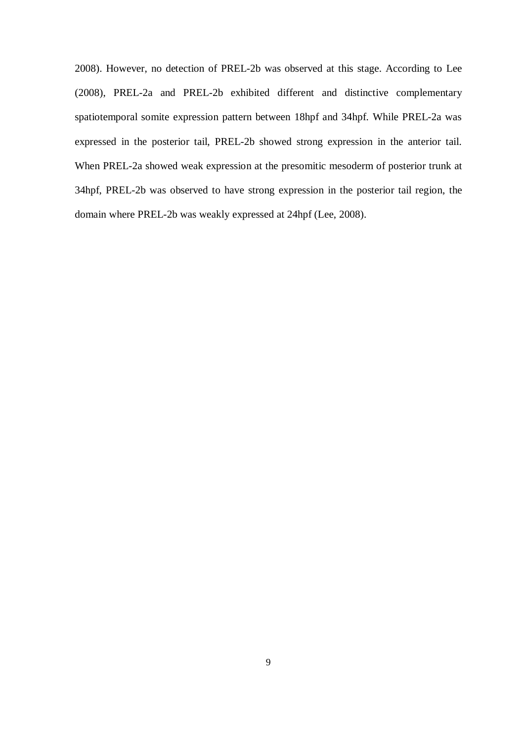2008). However, no detection of PREL-2b was observed at this stage. According to Lee (2008), PREL-2a and PREL-2b exhibited different and distinctive complementary spatiotemporal somite expression pattern between 18hpf and 34hpf. While PREL-2a was expressed in the posterior tail, PREL-2b showed strong expression in the anterior tail. When PREL-2a showed weak expression at the presomitic mesoderm of posterior trunk at 34hpf, PREL-2b was observed to have strong expression in the posterior tail region, the domain where PREL-2b was weakly expressed at 24hpf (Lee, 2008).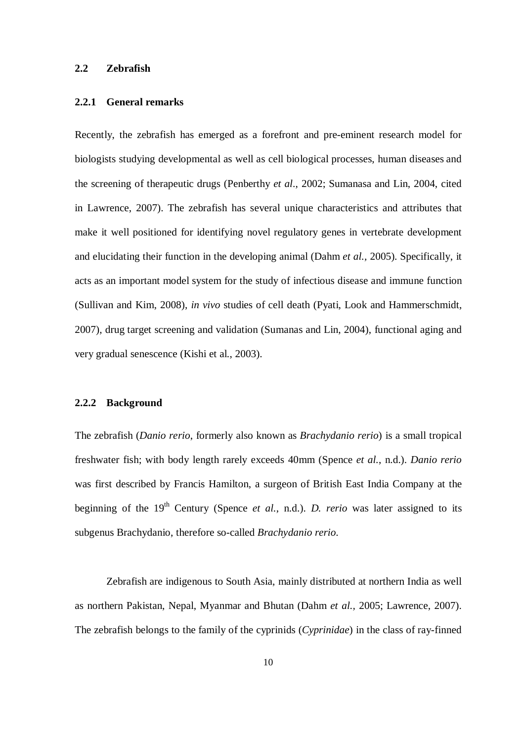#### **2.2 Zebrafish**

#### **2.2.1 General remarks**

Recently, the zebrafish has emerged as a forefront and pre-eminent research model for biologists studying developmental as well as cell biological processes, human diseases and the screening of therapeutic drugs (Penberthy *et al*., 2002; Sumanasa and Lin, 2004, cited in Lawrence, 2007). The zebrafish has several unique characteristics and attributes that make it well positioned for identifying novel regulatory genes in vertebrate development and elucidating their function in the developing animal (Dahm *et al.,* 2005). Specifically, it acts as an important model system for the study of infectious disease and immune function (Sullivan and Kim, 2008), *in vivo* studies of cell death (Pyati, Look and Hammerschmidt, 2007), drug target screening and validation (Sumanas and Lin, 2004), functional aging and very gradual senescence (Kishi et al., 2003).

#### **2.2.2 Background**

The zebrafish (*Danio rerio*, formerly also known as *Brachydanio rerio*) is a small tropical freshwater fish; with body length rarely exceeds 40mm (Spence *et al.*, n.d.). *Danio rerio*  was first described by Francis Hamilton, a surgeon of British East India Company at the beginning of the 19<sup>th</sup> Century (Spence *et al.*, n.d.). *D. rerio* was later assigned to its subgenus Brachydanio, therefore so-called *Brachydanio rerio*.

Zebrafish are indigenous to South Asia, mainly distributed at northern India as well as northern Pakistan, Nepal, Myanmar and Bhutan (Dahm *et al.,* 2005; Lawrence, 2007). The zebrafish belongs to the family of the cyprinids (*Cyprinidae*) in the class of ray-finned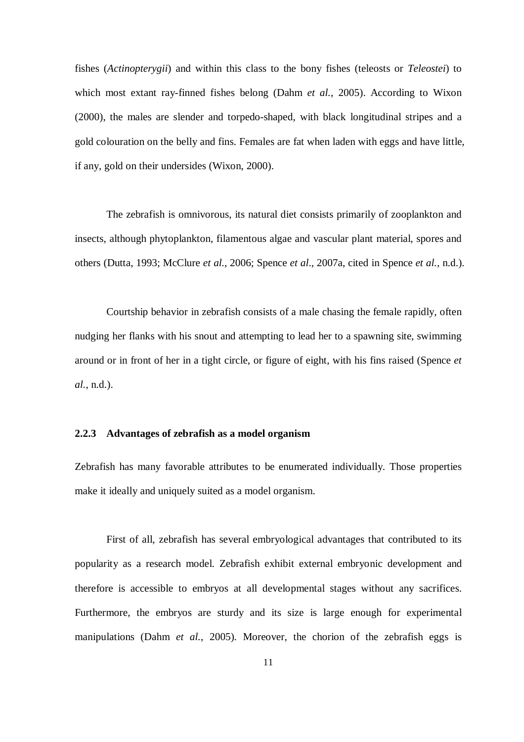fishes (*Actinopterygii*) and within this class to the bony fishes (teleosts or *Teleostei*) to which most extant ray-finned fishes belong (Dahm *et al.*, 2005). According to Wixon (2000), the males are slender and torpedo-shaped, with black longitudinal stripes and a gold colouration on the belly and fins. Females are fat when laden with eggs and have little, if any, gold on their undersides (Wixon, 2000).

The zebrafish is omnivorous, its natural diet consists primarily of zooplankton and insects, although phytoplankton, filamentous algae and vascular plant material, spores and others (Dutta, 1993; McClure *et al.*, 2006; Spence *et al*., 2007a, cited in Spence *et al.*, n.d.).

Courtship behavior in zebrafish consists of a male chasing the female rapidly, often nudging her flanks with his snout and attempting to lead her to a spawning site, swimming around or in front of her in a tight circle, or figure of eight, with his fins raised (Spence *et al.*, n.d.).

#### **2.2.3 Advantages of zebrafish as a model organism**

Zebrafish has many favorable attributes to be enumerated individually. Those properties make it ideally and uniquely suited as a model organism.

First of all, zebrafish has several embryological advantages that contributed to its popularity as a research model. Zebrafish exhibit external embryonic development and therefore is accessible to embryos at all developmental stages without any sacrifices. Furthermore, the embryos are sturdy and its size is large enough for experimental manipulations (Dahm *et al.*, 2005). Moreover, the chorion of the zebrafish eggs is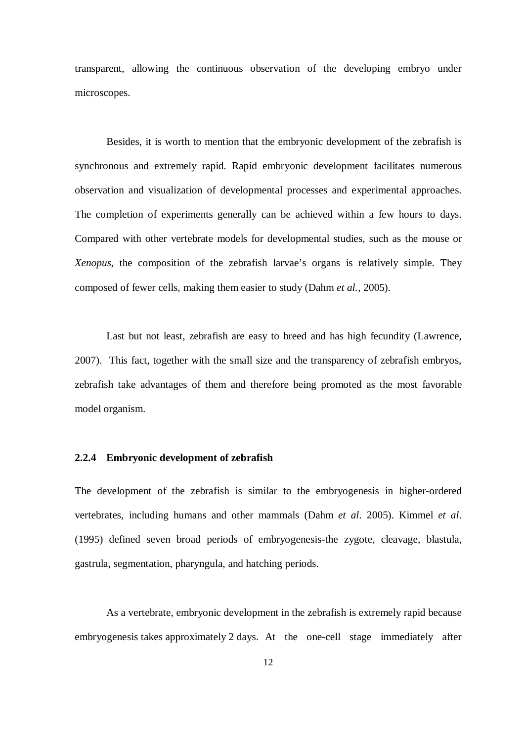transparent, allowing the continuous observation of the developing embryo under microscopes.

Besides, it is worth to mention that the embryonic development of the zebrafish is synchronous and extremely rapid. Rapid embryonic development facilitates numerous observation and visualization of developmental processes and experimental approaches. The completion of experiments generally can be achieved within a few hours to days. Compared with other vertebrate models for developmental studies, such as the mouse or *Xenopus*, the composition of the zebrafish larvae's organs is relatively simple. They composed of fewer cells, making them easier to study (Dahm *et al.*, 2005).

Last but not least, zebrafish are easy to breed and has high fecundity (Lawrence, 2007). This fact, together with the small size and the transparency of zebrafish embryos, zebrafish take advantages of them and therefore being promoted as the most favorable model organism.

#### **2.2.4 Embryonic development of zebrafish**

The development of the zebrafish is similar to the embryogenesis in higher-ordered vertebrates, including humans and other mammals (Dahm *et al*. 2005). Kimmel *et al*. (1995) defined seven broad periods of embryogenesis-the zygote, cleavage, blastula, gastrula, segmentation, pharyngula, and hatching periods.

As a vertebrate, embryonic development in the zebrafish is extremely rapid because embryogenesis takes approximately 2 days. At the one-cell stage immediately after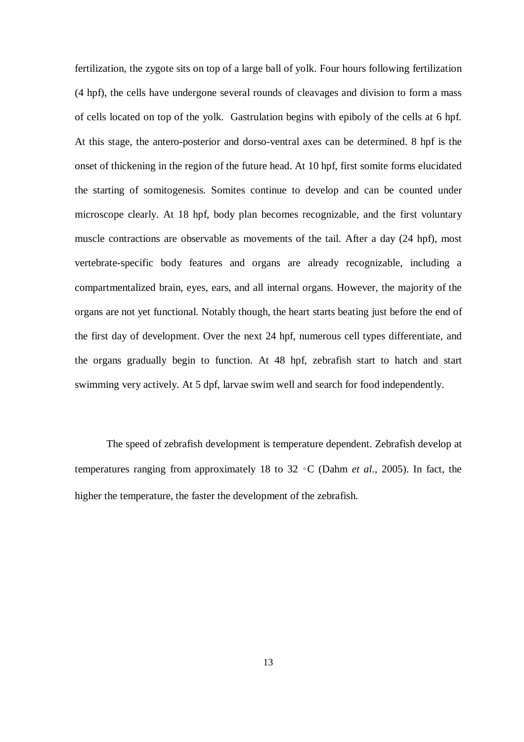fertilization, the zygote sits on top of a large ball of yolk. Four hours following fertilization (4 hpf), the cells have undergone several rounds of cleavages and division to form a mass of cells located on top of the yolk. Gastrulation begins with epiboly of the cells at 6 hpf. At this stage, the antero-posterior and dorso-ventral axes can be determined. 8 hpf is the onset of thickening in the region of the future head. At 10 hpf, first somite forms elucidated the starting of somitogenesis. Somites continue to develop and can be counted under microscope clearly. At 18 hpf, body plan becomes recognizable, and the first voluntary muscle contractions are observable as movements of the tail. After a day (24 hpf), most vertebrate-specific body features and organs are already recognizable, including a compartmentalized brain, eyes, ears, and all internal organs. However, the majority of the organs are not yet functional. Notably though, the heart starts beating just before the end of the first day of development. Over the next 24 hpf, numerous cell types differentiate, and the organs gradually begin to function. At 48 hpf, zebrafish start to hatch and start swimming very actively. At 5 dpf, larvae swim well and search for food independently.

The speed of zebrafish development is temperature dependent. Zebrafish develop at temperatures ranging from approximately 18 to 32 ◦C (Dahm *et al.*, 2005). In fact, the higher the temperature, the faster the development of the zebrafish.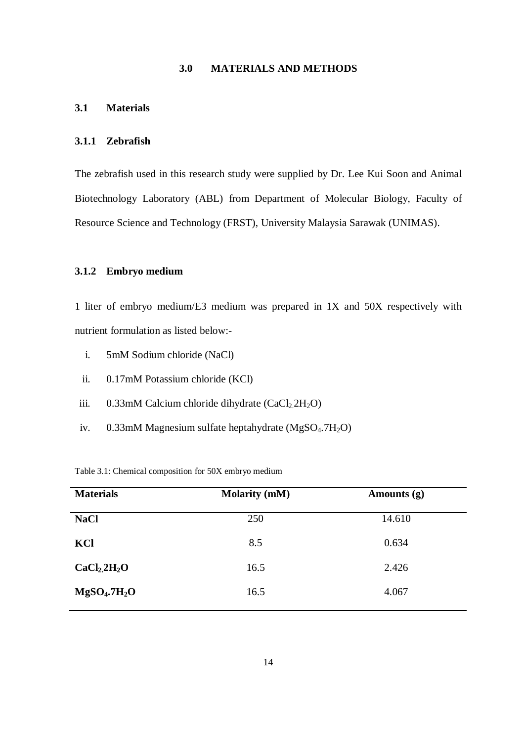#### **3.0 MATERIALS AND METHODS**

#### **3.1 Materials**

#### **3.1.1 Zebrafish**

The zebrafish used in this research study were supplied by Dr. Lee Kui Soon and Animal Biotechnology Laboratory (ABL) from Department of Molecular Biology, Faculty of Resource Science and Technology (FRST), University Malaysia Sarawak (UNIMAS).

#### **3.1.2 Embryo medium**

1 liter of embryo medium/E3 medium was prepared in 1X and 50X respectively with nutrient formulation as listed below:-

- i. 5mM Sodium chloride (NaCl)
- ii. 0.17mM Potassium chloride (KCl)
- iii.  $0.33 \text{mM}$  Calcium chloride dihydrate (CaCl<sub>2.</sub>2H<sub>2</sub>O)
- iv. 0.33mM Magnesium sulfate heptahydrate (MgSO<sub>4</sub>.7H<sub>2</sub>O)

Table 3.1: Chemical composition for 50X embryo medium

| <b>Materials</b>                     | <b>Molarity (mM)</b> | Amounts $(g)$ |
|--------------------------------------|----------------------|---------------|
| <b>NaCl</b>                          | 250                  | 14.610        |
| KCl                                  | 8.5                  | 0.634         |
| CaCl <sub>2</sub> 2H <sub>2</sub> O  | 16.5                 | 2.426         |
| MgSO <sub>4</sub> .7H <sub>2</sub> O | 16.5                 | 4.067         |